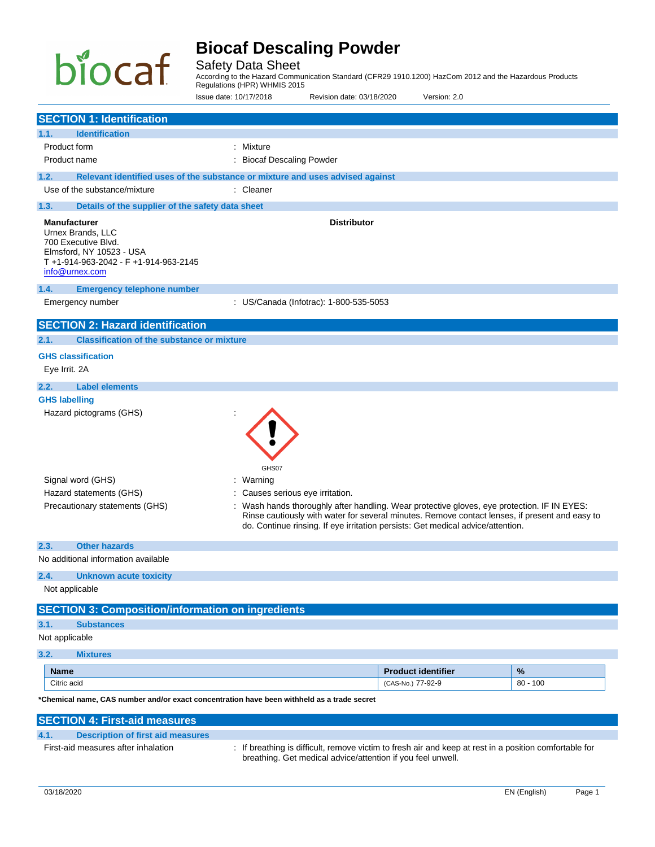# biocaf

# **Biocaf Descaling Powder**

Safety Data Sheet

According to the Hazard Communication Standard (CFR29 1910.1200) HazCom 2012 and the Hazardous Products Regulations (HPR) WHMIS 2015

Issue date: 10/17/2018 Revision date: 03/18/2020 Version: 2.0

| <b>SECTION 1: Identification</b>                                                                                                                     |                                                                                                                                                                                                                                                                                |                           |            |
|------------------------------------------------------------------------------------------------------------------------------------------------------|--------------------------------------------------------------------------------------------------------------------------------------------------------------------------------------------------------------------------------------------------------------------------------|---------------------------|------------|
| <b>Identification</b><br>1.1.                                                                                                                        |                                                                                                                                                                                                                                                                                |                           |            |
| Product form                                                                                                                                         | : Mixture                                                                                                                                                                                                                                                                      |                           |            |
| Product name                                                                                                                                         | <b>Biocaf Descaling Powder</b>                                                                                                                                                                                                                                                 |                           |            |
| 1.2.                                                                                                                                                 | Relevant identified uses of the substance or mixture and uses advised against                                                                                                                                                                                                  |                           |            |
| Use of the substance/mixture                                                                                                                         | : Cleaner                                                                                                                                                                                                                                                                      |                           |            |
| 1.3.<br>Details of the supplier of the safety data sheet                                                                                             |                                                                                                                                                                                                                                                                                |                           |            |
|                                                                                                                                                      |                                                                                                                                                                                                                                                                                |                           |            |
| <b>Manufacturer</b><br>Urnex Brands, LLC<br>700 Executive Blvd.<br>Elmsford, NY 10523 - USA<br>T+1-914-963-2042 - F+1-914-963-2145<br>info@urnex.com | <b>Distributor</b>                                                                                                                                                                                                                                                             |                           |            |
| 1.4.<br><b>Emergency telephone number</b>                                                                                                            |                                                                                                                                                                                                                                                                                |                           |            |
| Emergency number                                                                                                                                     | : US/Canada (Infotrac): 1-800-535-5053                                                                                                                                                                                                                                         |                           |            |
| <b>SECTION 2: Hazard identification</b>                                                                                                              |                                                                                                                                                                                                                                                                                |                           |            |
| <b>Classification of the substance or mixture</b><br>2.1.                                                                                            |                                                                                                                                                                                                                                                                                |                           |            |
| <b>GHS classification</b>                                                                                                                            |                                                                                                                                                                                                                                                                                |                           |            |
| Eye Irrit. 2A                                                                                                                                        |                                                                                                                                                                                                                                                                                |                           |            |
| 2.2.<br><b>Label elements</b>                                                                                                                        |                                                                                                                                                                                                                                                                                |                           |            |
| <b>GHS labelling</b>                                                                                                                                 |                                                                                                                                                                                                                                                                                |                           |            |
| Signal word (GHS)<br>Hazard statements (GHS)                                                                                                         | GHS07<br>: Warning<br>Causes serious eye irritation.                                                                                                                                                                                                                           |                           |            |
| Precautionary statements (GHS)                                                                                                                       | Wash hands thoroughly after handling. Wear protective gloves, eye protection. IF IN EYES:<br>Rinse cautiously with water for several minutes. Remove contact lenses, if present and easy to<br>do. Continue rinsing. If eye irritation persists: Get medical advice/attention. |                           |            |
| 2.3.<br><b>Other hazards</b><br>No additional information available                                                                                  |                                                                                                                                                                                                                                                                                |                           |            |
| 2.4.<br><b>Unknown acute toxicity</b>                                                                                                                |                                                                                                                                                                                                                                                                                |                           |            |
| Not applicable                                                                                                                                       |                                                                                                                                                                                                                                                                                |                           |            |
| <b>SECTION 3: Composition/information on ingredients</b>                                                                                             |                                                                                                                                                                                                                                                                                |                           |            |
| 3.1.<br><b>Substances</b>                                                                                                                            |                                                                                                                                                                                                                                                                                |                           |            |
| Not applicable                                                                                                                                       |                                                                                                                                                                                                                                                                                |                           |            |
| 3.2.<br><b>Mixtures</b>                                                                                                                              |                                                                                                                                                                                                                                                                                |                           |            |
| <b>Name</b>                                                                                                                                          |                                                                                                                                                                                                                                                                                | <b>Product identifier</b> | %          |
| Citric acid                                                                                                                                          |                                                                                                                                                                                                                                                                                | (CAS-No.) 77-92-9         | $80 - 100$ |
| *Chemical name, CAS number and/or exact concentration have been withheld as a trade secret                                                           |                                                                                                                                                                                                                                                                                |                           |            |
| <b>SECTION 4: First-aid measures</b>                                                                                                                 |                                                                                                                                                                                                                                                                                |                           |            |
| 4.1.<br><b>Description of first aid measures</b>                                                                                                     |                                                                                                                                                                                                                                                                                |                           |            |
| First-aid measures after inhalation                                                                                                                  | : If breathing is difficult, remove victim to fresh air and keep at rest in a position comfortable for                                                                                                                                                                         |                           |            |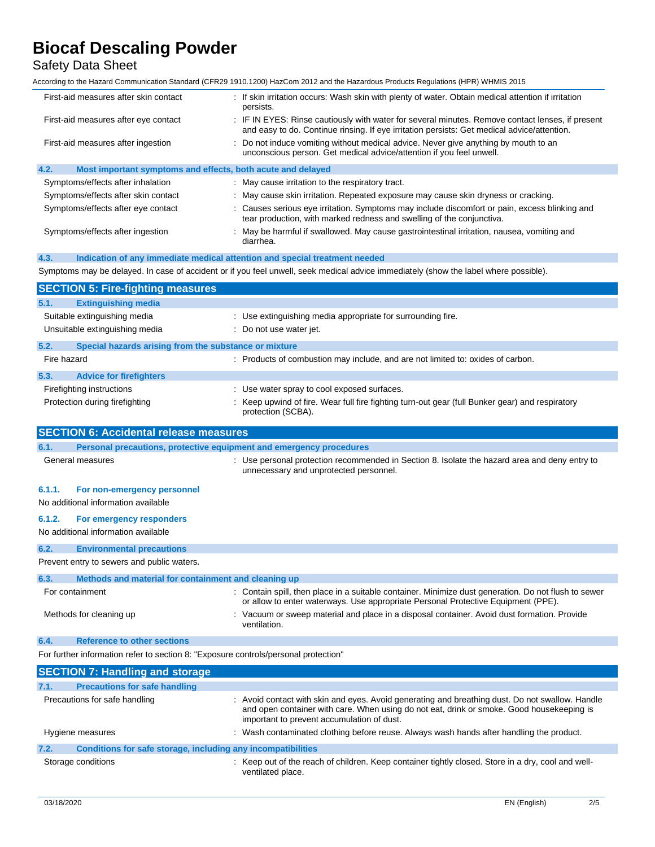## Safety Data Sheet

According to the Hazard Communication Standard (CFR29 1910.1200) HazCom 2012 and the Hazardous Products Regulations (HPR) WHMIS 2015

| First-aid measures after skin contact                                               | : If skin irritation occurs: Wash skin with plenty of water. Obtain medical attention if irritation<br>persists.                                                                              |
|-------------------------------------------------------------------------------------|-----------------------------------------------------------------------------------------------------------------------------------------------------------------------------------------------|
| First-aid measures after eye contact                                                | IF IN EYES: Rinse cautiously with water for several minutes. Remove contact lenses, if present<br>and easy to do. Continue rinsing. If eye irritation persists: Get medical advice/attention. |
| First-aid measures after ingestion                                                  | Do not induce vomiting without medical advice. Never give anything by mouth to an<br>unconscious person. Get medical advice/attention if you feel unwell.                                     |
| 4.2.<br>Most important symptoms and effects, both acute and delayed                 |                                                                                                                                                                                               |
| Symptoms/effects after inhalation                                                   | : May cause irritation to the respiratory tract.                                                                                                                                              |
| Symptoms/effects after skin contact                                                 | May cause skin irritation. Repeated exposure may cause skin dryness or cracking.                                                                                                              |
| Symptoms/effects after eye contact                                                  | Causes serious eye irritation. Symptoms may include discomfort or pain, excess blinking and<br>tear production, with marked redness and swelling of the conjunctiva.                          |
| Symptoms/effects after ingestion                                                    | May be harmful if swallowed. May cause gastrointestinal irritation, nausea, vomiting and<br>diarrhea.                                                                                         |
| 4.3.                                                                                | Indication of any immediate medical attention and special treatment needed                                                                                                                    |
|                                                                                     | Symptoms may be delayed. In case of accident or if you feel unwell, seek medical advice immediately (show the label where possible).                                                          |
| <b>SECTION 5: Fire-fighting measures</b>                                            |                                                                                                                                                                                               |
| <b>Extinguishing media</b><br>5.1.                                                  |                                                                                                                                                                                               |
| Suitable extinguishing media                                                        | : Use extinguishing media appropriate for surrounding fire.                                                                                                                                   |
| Unsuitable extinguishing media                                                      | Do not use water jet.                                                                                                                                                                         |
| 5.2.<br>Special hazards arising from the substance or mixture                       |                                                                                                                                                                                               |
| Fire hazard                                                                         | : Products of combustion may include, and are not limited to: oxides of carbon.                                                                                                               |
|                                                                                     |                                                                                                                                                                                               |
| 5.3.<br><b>Advice for firefighters</b>                                              | : Use water spray to cool exposed surfaces.                                                                                                                                                   |
| Firefighting instructions                                                           | Keep upwind of fire. Wear full fire fighting turn-out gear (full Bunker gear) and respiratory                                                                                                 |
| Protection during firefighting                                                      | protection (SCBA).                                                                                                                                                                            |
| <b>SECTION 6: Accidental release measures</b>                                       |                                                                                                                                                                                               |
| 6.1.                                                                                | Personal precautions, protective equipment and emergency procedures                                                                                                                           |
| General measures                                                                    | Use personal protection recommended in Section 8. Isolate the hazard area and deny entry to<br>unnecessary and unprotected personnel.                                                         |
| 6.1.1.<br>For non-emergency personnel                                               |                                                                                                                                                                                               |
| No additional information available                                                 |                                                                                                                                                                                               |
| 6.1.2.<br>For emergency responders                                                  |                                                                                                                                                                                               |
| No additional information available                                                 |                                                                                                                                                                                               |
| 6.2.<br><b>Environmental precautions</b>                                            |                                                                                                                                                                                               |
| Prevent entry to sewers and public waters.                                          |                                                                                                                                                                                               |
| Methods and material for containment and cleaning up<br>6.3.                        |                                                                                                                                                                                               |
| For containment                                                                     | : Contain spill, then place in a suitable container. Minimize dust generation. Do not flush to sewer<br>or allow to enter waterways. Use appropriate Personal Protective Equipment (PPE).     |
| Methods for cleaning up                                                             | Vacuum or sweep material and place in a disposal container. Avoid dust formation. Provide<br>ventilation.                                                                                     |
| <b>Reference to other sections</b><br>6.4.                                          |                                                                                                                                                                                               |
| For further information refer to section 8: "Exposure controls/personal protection" |                                                                                                                                                                                               |
| <b>SECTION 7: Handling and storage</b>                                              |                                                                                                                                                                                               |
| <b>Precautions for safe handling</b><br>7.1.                                        |                                                                                                                                                                                               |
| Precautions for safe handling                                                       | : Avoid contact with skin and eyes. Avoid generating and breathing dust. Do not swallow. Handle<br>and open container with care. When using do not eat, drink or smoke. Good housekeeping is  |

#### Hygiene measures **interpretatal contaminated clothing before reuse**. Always wash hands after handling the product.

important to prevent accumulation of dust.

#### **7.2. Conditions for safe storage, including any incompatibilities**

Storage conditions **Storage conditions** : Keep out of the reach of children. Keep container tightly closed. Store in a dry, cool and wellventilated place.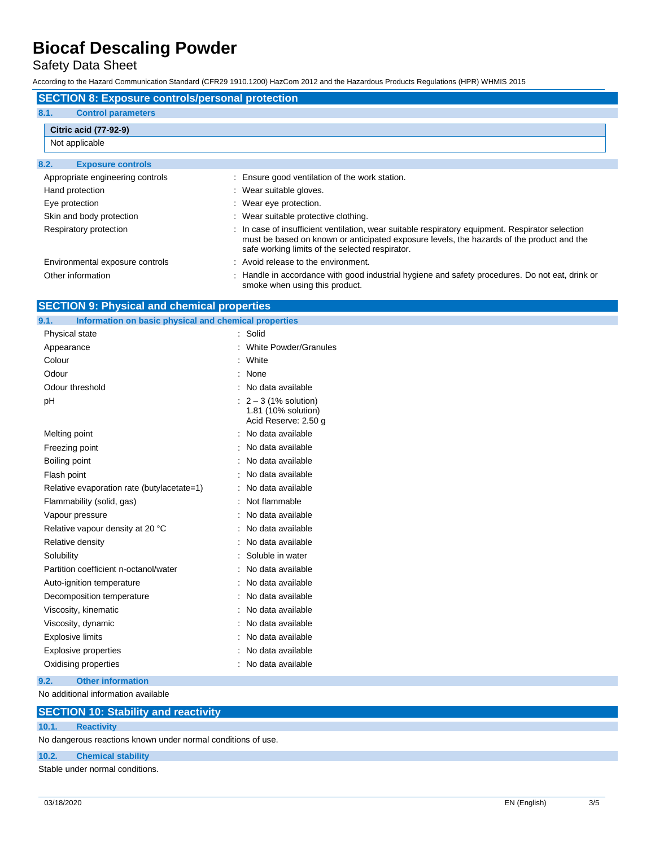Safety Data Sheet

According to the Hazard Communication Standard (CFR29 1910.1200) HazCom 2012 and the Hazardous Products Regulations (HPR) WHMIS 2015

| <b>SECTION 8: Exposure controls/personal protection</b> |                                                                                                                                                                                                                                                  |  |
|---------------------------------------------------------|--------------------------------------------------------------------------------------------------------------------------------------------------------------------------------------------------------------------------------------------------|--|
| 8.1.<br><b>Control parameters</b>                       |                                                                                                                                                                                                                                                  |  |
| <b>Citric acid (77-92-9)</b>                            |                                                                                                                                                                                                                                                  |  |
| Not applicable                                          |                                                                                                                                                                                                                                                  |  |
| 8.2.<br><b>Exposure controls</b>                        |                                                                                                                                                                                                                                                  |  |
| Appropriate engineering controls                        | : Ensure good ventilation of the work station.                                                                                                                                                                                                   |  |
| Hand protection                                         | : Wear suitable gloves.                                                                                                                                                                                                                          |  |
| Eye protection                                          | : Wear eye protection.                                                                                                                                                                                                                           |  |
| Skin and body protection                                | : Wear suitable protective clothing.                                                                                                                                                                                                             |  |
| Respiratory protection                                  | : In case of insufficient ventilation, wear suitable respiratory equipment. Respirator selection<br>must be based on known or anticipated exposure levels, the hazards of the product and the<br>safe working limits of the selected respirator. |  |
| Environmental exposure controls                         | : Avoid release to the environment.                                                                                                                                                                                                              |  |
| Other information                                       | : Handle in accordance with good industrial hygiene and safety procedures. Do not eat, drink or<br>smoke when using this product.                                                                                                                |  |

| <b>SECTION 9: Physical and chemical properties</b> |
|----------------------------------------------------|
|----------------------------------------------------|

| 9.1.<br>Information on basic physical and chemical properties |                                                                                 |
|---------------------------------------------------------------|---------------------------------------------------------------------------------|
| Physical state                                                | : Solid                                                                         |
| Appearance                                                    | : White Powder/Granules                                                         |
| Colour                                                        | : White                                                                         |
| Odour                                                         | : None                                                                          |
| Odour threshold                                               | : No data available                                                             |
| pH                                                            | $\therefore$ 2 – 3 (1% solution)<br>1.81 (10% solution)<br>Acid Reserve: 2.50 g |
| Melting point                                                 | : No data available                                                             |
| Freezing point                                                | : No data available                                                             |
| Boiling point                                                 | : No data available                                                             |
| Flash point                                                   | : No data available                                                             |
| Relative evaporation rate (butylacetate=1)                    | : No data available                                                             |
| Flammability (solid, gas)                                     | : Not flammable                                                                 |
| Vapour pressure                                               | No data available                                                               |
| Relative vapour density at 20 °C                              | : No data available                                                             |
| Relative density                                              | No data available                                                               |
| Solubility                                                    | : Soluble in water                                                              |
| Partition coefficient n-octanol/water                         | : No data available                                                             |
| Auto-ignition temperature                                     | : No data available                                                             |
| Decomposition temperature                                     | : No data available                                                             |
| Viscosity, kinematic                                          | No data available                                                               |
| Viscosity, dynamic                                            | : No data available                                                             |
| <b>Explosive limits</b>                                       | : No data available                                                             |
| <b>Explosive properties</b>                                   | : No data available                                                             |
| Oxidising properties                                          | : No data available                                                             |
| <b>Other information</b><br>9.2.                              |                                                                                 |

No additional information available

#### **SECTION 10: Stability and reactivity**

#### **10.1. Reactivity**

No dangerous reactions known under normal conditions of use.

#### **10.2. Chemical stability**

Stable under normal conditions.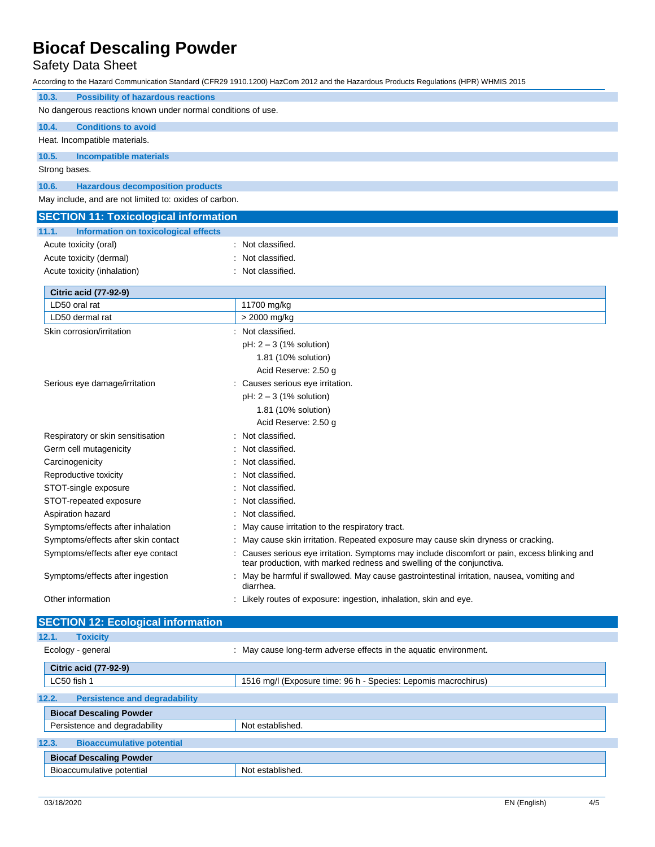## Safety Data Sheet

According to the Hazard Communication Standard (CFR29 1910.1200) HazCom 2012 and the Hazardous Products Regulations (HPR) WHMIS 2015

| <b>Possibility of hazardous reactions</b><br>10.3.           |                                                                                             |  |
|--------------------------------------------------------------|---------------------------------------------------------------------------------------------|--|
| No dangerous reactions known under normal conditions of use. |                                                                                             |  |
| 10.4.<br><b>Conditions to avoid</b>                          |                                                                                             |  |
| Heat. Incompatible materials.                                |                                                                                             |  |
| 10.5.<br><b>Incompatible materials</b>                       |                                                                                             |  |
| Strong bases.                                                |                                                                                             |  |
|                                                              |                                                                                             |  |
| 10.6.<br><b>Hazardous decomposition products</b>             |                                                                                             |  |
| May include, and are not limited to: oxides of carbon.       |                                                                                             |  |
| <b>SECTION 11: Toxicological information</b>                 |                                                                                             |  |
| 11.1.<br>Information on toxicological effects                |                                                                                             |  |
| Acute toxicity (oral)                                        | Not classified.                                                                             |  |
| Acute toxicity (dermal)                                      | Not classified.                                                                             |  |
| Acute toxicity (inhalation)                                  | Not classified.                                                                             |  |
|                                                              |                                                                                             |  |
| <b>Citric acid (77-92-9)</b><br>LD50 oral rat                | 11700 mg/kg                                                                                 |  |
| LD50 dermal rat                                              | > 2000 mg/kg                                                                                |  |
| Skin corrosion/irritation                                    | Not classified.                                                                             |  |
|                                                              | $pH: 2-3$ (1% solution)                                                                     |  |
|                                                              | 1.81 (10% solution)                                                                         |  |
|                                                              | Acid Reserve: 2.50 g                                                                        |  |
| Serious eye damage/irritation                                | : Causes serious eye irritation.                                                            |  |
|                                                              | $pH: 2-3$ (1% solution)                                                                     |  |
|                                                              | 1.81 (10% solution)                                                                         |  |
|                                                              | Acid Reserve: 2.50 g                                                                        |  |
| Respiratory or skin sensitisation                            | Not classified.                                                                             |  |
| Germ cell mutagenicity                                       | Not classified.                                                                             |  |
| Carcinogenicity                                              | Not classified.                                                                             |  |
| Reproductive toxicity                                        | Not classified.                                                                             |  |
| STOT-single exposure                                         | Not classified.                                                                             |  |
| STOT-repeated exposure                                       | Not classified.                                                                             |  |
| Aspiration hazard                                            | Not classified.                                                                             |  |
| Symptoms/effects after inhalation                            | May cause irritation to the respiratory tract.                                              |  |
| Symptoms/effects after skin contact                          | May cause skin irritation. Repeated exposure may cause skin dryness or cracking.            |  |
| Symptoms/effects after eye contact                           | Causes serious eye irritation. Symptoms may include discomfort or pain, excess blinking and |  |
|                                                              | tear production, with marked redness and swelling of the conjunctiva.                       |  |
| Symptoms/effects after ingestion                             | : May be harmful if swallowed. May cause gastrointestinal irritation, nausea, vomiting and  |  |
|                                                              | diarrhea.                                                                                   |  |
| Other information                                            | : Likely routes of exposure: ingestion, inhalation, skin and eye.                           |  |
| <b>SECTION 12: Ecological information</b>                    |                                                                                             |  |
| 12.1.<br><b>Toxicity</b>                                     |                                                                                             |  |
| Ecology - general                                            | : May cause long-term adverse effects in the aquatic environment.                           |  |
|                                                              |                                                                                             |  |
| <b>Citric acid (77-92-9)</b>                                 |                                                                                             |  |

| LC50 fish 1                                   | 1516 mg/l (Exposure time: 96 h - Species: Lepomis macrochirus) |  |
|-----------------------------------------------|----------------------------------------------------------------|--|
| 12.2.<br><b>Persistence and degradability</b> |                                                                |  |
| <b>Biocaf Descaling Powder</b>                |                                                                |  |
| Persistence and degradability                 | Not established.                                               |  |
| 12.3.<br><b>Bioaccumulative potential</b>     |                                                                |  |
| <b>Biocaf Descaling Powder</b>                |                                                                |  |
| Bioaccumulative potential                     | Not established.                                               |  |